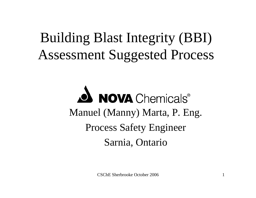# Building Blast Integrity (BBI) Assessment Suggested Process

**NOVA** Chemicals® Manuel (Manny) Marta, P. Eng. Process Safety Engineer Sarnia, Ontario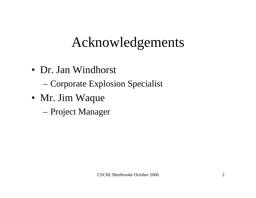# Acknowledgements

- Dr. Jan Windhorst
	- Corporate Explosion Specialist
- Mr. Jim Waque
	- Project Manager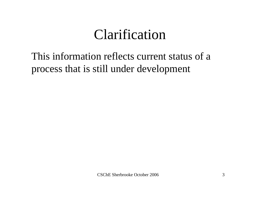# Clarification

### This information reflects current status of a process that is still under development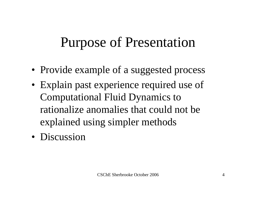# Purpose of Presentation

- Provide example of a suggested process
- Explain past experience required use of Computational Fluid Dynamics to rationalize anomalies that could not be explained using simpler methods
- Discussion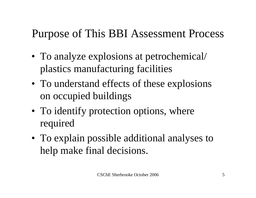### Purpose of This BBI Assessment Process

- To analyze explosions at petrochemical/ plastics manufacturing facilities
- To understand effects of these explosions on occupied buildings
- To identify protection options, where required
- To explain possible additional analyses to help make final decisions.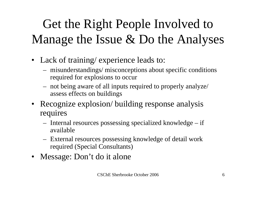# Get the Right People Involved to Manage the Issue & Do the Analyses

- Lack of training/ experience leads to:
	- misunderstandings/ misconceptions about specific conditions required for explosions to occur
	- not being aware of all inputs required to properly analyze/ assess effects on buildings
- Recognize explosion/ building response analysis requires
	- Internal resources possessing specialized knowledge if available
	- External resources possessing knowledge of detail work required (Special Consultants)
- Message: Don't do it alone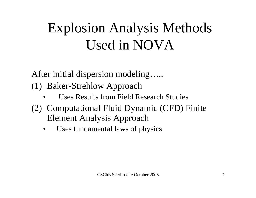# Explosion Analysis Methods Used in NOVA

After initial dispersion modeling…..

(1) Baker-Strehlow Approach

- •Uses Results from Field Research Studies
- (2) Computational Fluid Dynamic (CFD) Finite Element Analysis Approach
	- •Uses fundamental laws of physics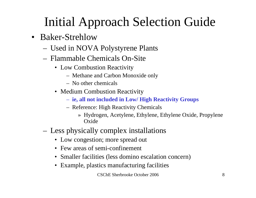# Initial Approach Selection Guide

- Baker-Strehlow
	- Used in NOVA Polystyrene Plants
	- Flammable Chemicals On-Site
		- Low Combustion Reactivity
			- Methane and Carbon Monoxide only
			- No other chemicals
		- Medium Combustion Reactivity
			- **ie, all not included in Low/ High Reactivity Groups**
			- Reference: High Reactivity Chemicals
				- » Hydrogen, Acetylene, Ethylene, Ethylene Oxide, Propylene **Oxide**
	- Less physically complex installations
		- Low congestion; more spread out
		- Few areas of semi-confinement
		- Smaller facilities (less domino escalation concern)
		- Example, plastics manufacturing facilities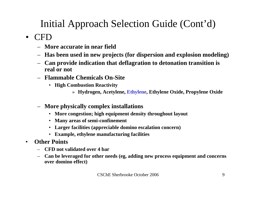### Initial Approach Selection Guide (Cont'd)

#### $\bullet$ CFD

- **More accurate in near field**
- **Has been used in new projects (for dispersion and explosion modeling)**
- **Can provide indication that deflagration to detonation transition is real or not**
- **Flammable Chemicals On-Site**
	- **High Combustion Reactivity**
		- » **Hydrogen, Acetylene, Ethylene, Ethylene Oxide, Propylene Oxide**
- **More physically complex installations**
	- **More congestion; high equipment density throughout layout**
	- **Many areas of semi-confinement**
	- **Larger facilities (appreciable domino escalation concern)**
	- **Example, ethylene manufacturing facilities**
- • **Other Points**
	- **CFD not validated over 4 bar**
	- **Can be leveraged for other needs (eg, adding new process equipment and concerns over domino effect)**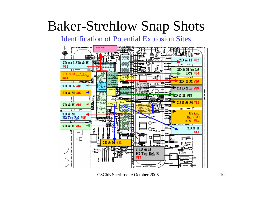# Baker-Strehlow Snap Shots

Identification of Potential Explosion Sites

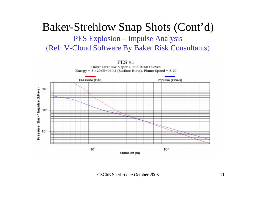### Baker-Strehlow Snap Shots (Cont'd) PES Explosion – Impulse Analysis (Ref: V-Cloud Software By Baker Risk Consultants)

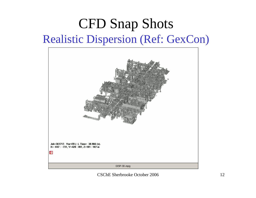### CFD Snap Shots Realistic Dispersion (Ref: GexCon)

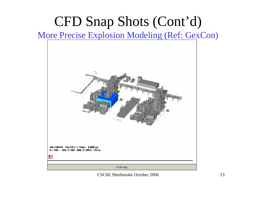# CFD Snap Shots (Cont'd)

#### More Precise Explosion Modeling (Ref: GexCon)

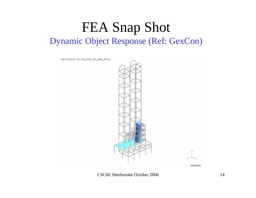### FEA Snap Shot Dynamic Object Response (Ref: GexCon)

OASYS D3PLOT: R201/202\_D202\_I201\_P34B\_SPR\_NL

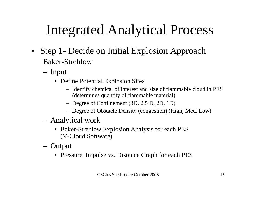# Integrated Analytical Process

- Step 1- Decide on Initial Explosion Approach Baker-Strehlow
	- Input
		- Define Potential Explosion Sites
			- Identify chemical of interest and size of flammable cloud in PES (determines quantity of flammable material)
			- Degree of Confinement (3D, 2.5 D, 2D, 1D)
			- Degree of Obstacle Density (congestion) (High, Med, Low)
	- Analytical work
		- Baker-Strehlow Explosion Analysis for each PES (V-Cloud Software)
	- **Output** 
		- Pressure, Impulse vs. Distance Graph for each PES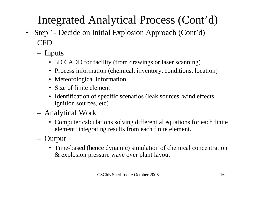### Integrated Analytical Process (Cont'd)

- $\bullet$  Step 1- Decide on Initial Explosion Approach (Cont'd) CFD
	- Inputs
		- 3D CADD for facility (from drawings or laser scanning)
		- Process information (chemical, inventory, conditions, location)
		- Meteorological information
		- Size of finite element
		- Identification of specific scenarios (leak sources, wind effects, ignition sources, etc)
	- Analytical Work
		- Computer calculations solving differential equations for each finite element; integrating results from each finite element.
	- Output
		- Time-based (hence dynamic) simulation of chemical concentration & explosion pressure wave over plant layout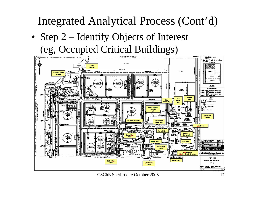Integrated Analytical Process (Cont'd)

• Step 2 – Identify Objects of Interest (eg, Occupied Critical Buildings)



CSChE Sherbrooke October 2006 17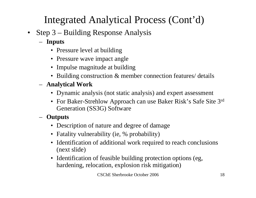### Integrated Analytical Process (Cont'd)

- Step 3 Building Response Analysis
	- **Inputs**
		- Pressure level at building
		- Pressure wave impact angle
		- Impulse magnitude at building
		- Building construction & member connection features/ details
	- **Analytical Work**
		- Dynamic analysis (not static analysis) and expert assessment
		- For Baker-Strehlow Approach can use Baker Risk's Safe Site 3<sup>rd</sup> Generation (SS3G) Software
	- **Outputs**
		- Description of nature and degree of damage
		- Fatality vulnerability (ie, % probability)
		- Identification of additional work required to reach conclusions (next slide)
		- Identification of feasible building protection options (eg, hardening, relocation, explosion risk mitigation)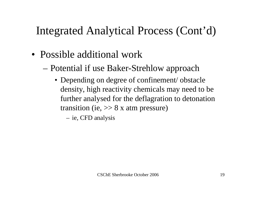### Integrated Analytical Process (Cont'd)

- Possible additional work
	- Potential if use Baker-Strehlow approach
		- Depending on degree of confinement/obstacle density, high reactivity chemicals may need to be further analysed for the deflagration to detonation transition (ie,  $>> 8x$  atm pressure)

ie, CFD analysis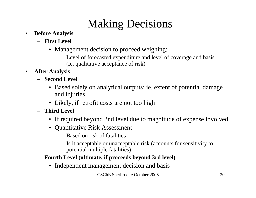### Making Decisions

- $\bullet$  **Before Analysis**
	- **First Level**
		- Management decision to proceed weighing:
			- Level of forecasted expenditure and level of coverage and basis (ie, qualitative acceptance of risk)
- $\bullet$  **After Analysis**
	- **Second Level**
		- Based solely on analytical outputs; ie, extent of potential damage and injuries
		- Likely, if retrofit costs are not too high
	- **Third Level**
		- If required beyond 2nd level due to magnitude of expense involved
		- Quantitative Risk Assessment
			- Based on risk of fatalities
			- Is it acceptable or unacceptable risk (accounts for sensitivity to potential multiple fatalities)
	- **Fourth Level (ultimate, if proceeds beyond 3rd level)**
		- Independent management decision and basis